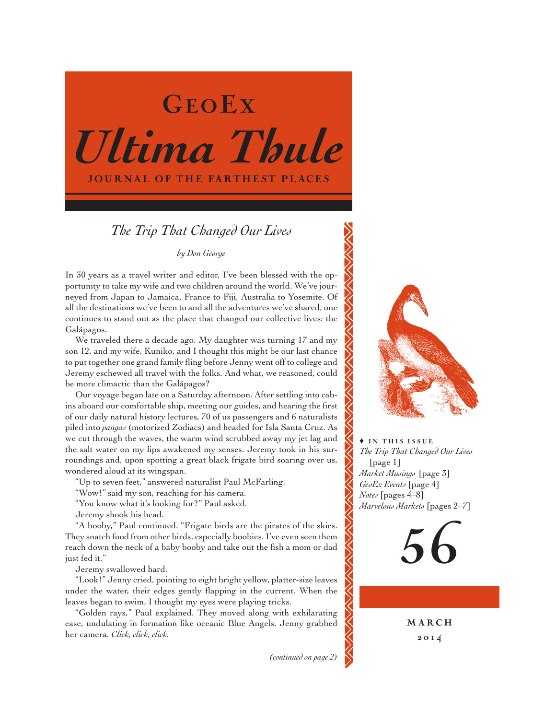

# *The Trip That Changed Our Lives*

*by Don George*

In 30 years as a travel writer and editor, I've been blessed with the opportunity to take my wife and two children around the world. We've journeyed from Japan to Jamaica, France to Fiji, Australia to Yosemite. Of all the destinations we've been to and all the adventures we've shared, one continues to stand out as the place that changed our collective lives: the Galápagos.

We traveled there a decade ago. My daughter was turning 17 and my son 12, and my wife, Kuniko, and I thought this might be our last chance to put together one grand family fling before Jenny went off to college and Jeremy eschewed all travel with the folks. And what, we reasoned, could be more climactic than the Galápagos?

Our voyage began late on a Saturday afternoon. After settling into cabins aboard our comfortable ship, meeting our guides, and hearing the first of our daily natural history lectures, 70 of us passengers and 6 naturalists piled into *pangas* (motorized Zodiacs) and headed for Isla Santa Cruz. As we cut through the waves, the warm wind scrubbed away my jet lag and the salt water on my lips awakened my senses. Jeremy took in his surroundings and, upon spotting a great black frigate bird soaring over us, wondered aloud at its wingspan.

"Up to seven feet," answered naturalist Paul McFarling.

"Wow!" said my son, reaching for his camera.

"You know what it's looking for?" Paul asked.

Jeremy shook his head.

"A booby," Paul continued. "Frigate birds are the pirates of the skies. They snatch food from other birds, especially boobies. I've even seen them reach down the neck of a baby booby and take out the fish a mom or dad just fed it."

Jeremy swallowed hard.

"Look!" Jenny cried, pointing to eight bright yellow, platter-size leaves under the water, their edges gently flapping in the current. When the leaves began to swim, I thought my eyes were playing tricks.

"Golden rays," Paul explained. They moved along with exhilarating ease, undulating in formation like oceanic Blue Angels. Jenny grabbed her camera. *Click, click, click.*

*(continued on page 2)*



 $\overline{\bullet}$  IN THIS ISSUE *The Trip That Changed Our Lives*  [page 1] *Market Musings* [page 3] *GeoEx Events* [page 4] *Notes* [pages 4–8] *Marvelous Markets* [pages 2–7]

56

**MARCH** 201 4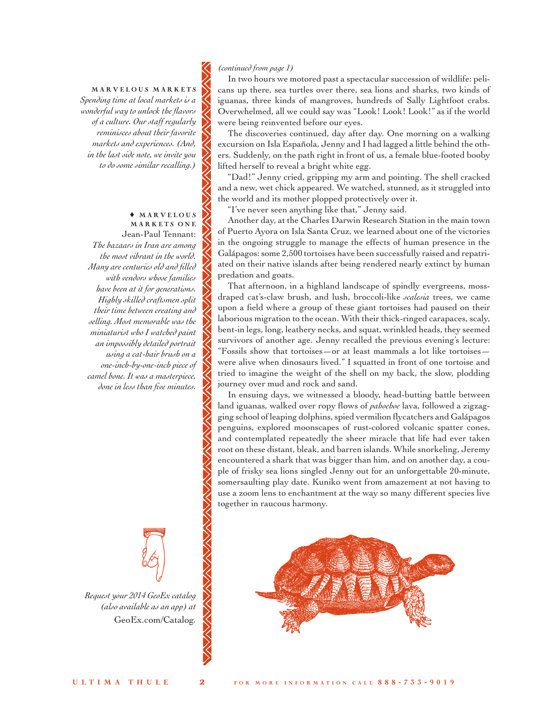## MARVELOUS MARKETS *Spending time at local markets is a wonderful way to unlock the flavors of a culture. Our staff regularly reminisces about their favorite markets and experiences. (And, in the last side note, we invite you to do some similar recalling.)*

#### ♦ M A R V E L O U S M A R K E T S ON E

Jean-Paul Tennant: *The bazaars in Iran are among the most vibrant in the world. Many are centuries old and filled with vendors whose families have been at it for generations. Highly skilled craftsmen split their time between creating and selling. Most memorable was the miniaturist who I watched paint an impossibly detailed portrait using a cat-hair brush on a one-inch-by-one-inch piece of camel bone. It was a masterpiece, done in less than five minutes.*

*Request your 2014 GeoEx catalog (also available as an app) at* [GeoEx.com/Catalog](http://www.geoex.com/forms/catalog-request)*.* •

#### *(continued from page 1)*

In two hours we motored past a spectacular succession of wildlife: pelicans up there, sea turtles over there, sea lions and sharks, two kinds of iguanas, three kinds of mangroves, hundreds of Sally Lightfoot crabs. Overwhelmed, all we could say was "Look! Look! Look!" as if the world were being reinvented before our eyes.

The discoveries continued, day after day. One morning on a walking excursion on Isla Española, Jenny and I had lagged a little behind the others. Suddenly, on the path right in front of us, a female blue-footed booby lifted herself to reveal a bright white egg.

"Dad!" Jenny cried, gripping my arm and pointing. The shell cracked and a new, wet chick appeared. We watched, stunned, as it struggled into the world and its mother plopped protectively over it.

"I've never seen anything like that," Jenny said.

Another day, at the Charles Darwin Research Station in the main town of Puerto Ayora on Isla Santa Cruz, we learned about one of the victories in the ongoing struggle to manage the effects of human presence in the Galápagos: some 2,500 tortoises have been successfully raised and repatriated on their native islands after being rendered nearly extinct by human predation and goats.

That afternoon, in a highland landscape of spindly evergreens, mossdraped cat's-claw brush, and lush, broccoli-like *scalesia* trees, we came upon a field where a group of these giant tortoises had paused on their laborious migration to the ocean. With their thick-ringed carapaces, scaly, bent-in legs, long, leathery necks, and squat, wrinkled heads, they seemed survivors of another age. Jenny recalled the previous evening's lecture: "Fossils show that tortoises—or at least mammals a lot like tortoises were alive when dinosaurs lived." I squatted in front of one tortoise and tried to imagine the weight of the shell on my back, the slow, plodding journey over mud and rock and sand.

In ensuing days, we witnessed a bloody, head-butting battle between land iguanas, walked over ropy flows of *pahoehoe* lava, followed a zigzagging school of leaping dolphins, spied vermilion flycatchers and Galápagos penguins, explored moonscapes of rust-colored volcanic spatter cones, and contemplated repeatedly the sheer miracle that life had ever taken root on these distant, bleak, and barren islands. While snorkeling, Jeremy encountered a shark that was bigger than him, and on another day, a couple of frisky sea lions singled Jenny out for an unforgettable 20-minute, somersaulting play date. Kuniko went from amazement at not having to use a zoom lens to enchantment at the way so many different species live together in raucous harmony.

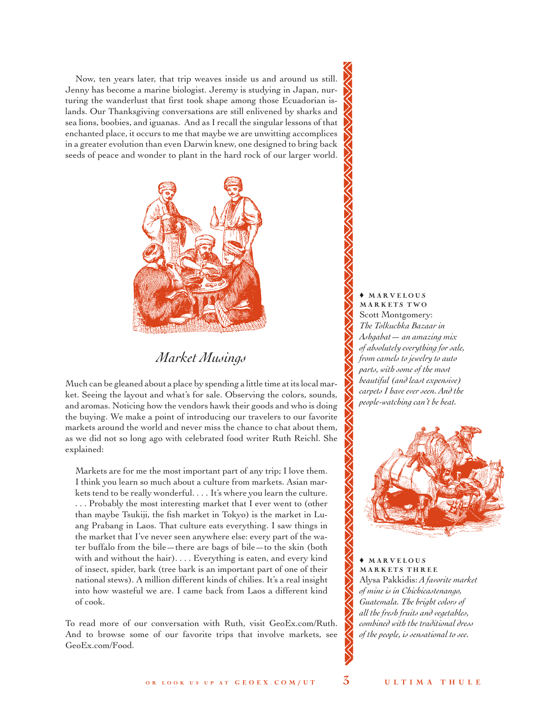Now, ten years later, that trip weaves inside us and around us still. Jenny has become a marine biologist. Jeremy is studying in Japan, nurturing the wanderlust that first took shape among those Ecuadorian islands. Our Thanksgiving conversations are still enlivened by sharks and sea lions, boobies, and iguanas. And as I recall the singular lessons of that enchanted place, it occurs to me that maybe we are unwitting accomplices in a greater evolution than even Darwin knew, one designed to bring back seeds of peace and wonder to plant in the hard rock of our larger world.



## *Market Musings*

Much can be gleaned about a place by spending a little time at its local market. Seeing the layout and what's for sale. Observing the colors, sounds, and aromas. Noticing how the vendors hawk their goods and who is doing the buying. We make a point of introducing our travelers to our favorite markets around the world and never miss the chance to chat about them, as we did not so long ago with celebrated food writer Ruth Reichl. She explained:

Markets are for me the most important part of any trip; I love them. I think you learn so much about a culture from markets. Asian markets tend to be really wonderful. . . . It's where you learn the culture. . . . Probably the most interesting market that I ever went to (other than maybe Tsukiji, the fish market in Tokyo) is the market in Luang Prabang in Laos. That culture eats everything. I saw things in the market that I've never seen anywhere else: every part of the water buffalo from the bile—there are bags of bile—to the skin (both with and without the hair). . . . Everything is eaten, and every kind of insect, spider, bark (tree bark is an important part of one of their national stews). A million different kinds of chilies. It's a real insight into how wasteful we are. I came back from Laos a different kind of cook.

To read more of our conversation with Ruth, visit GeoEx.com/Ruth. And to browse some of our favorite trips that involve markets, see [GeoEx.com/Food.](http://www.geoex.com/trip-activities/motifs/food-feasts)

♦ M A R V E L O U S MARKETS TWO Scott Montgomery: *The Tolkuchka Bazaar in Ashgabat— an amazing mix of absolutely everything for sale, from camels to jewelry to auto parts, with some of the most beautiful (and least expensive) carpets I have ever seen. And the people-watching can't be beat.* 



♦ M A R V E L O U S MARKETS THREE Alysa Pakkidis: *A favorite market of mine is in Chichicastenango, Guatemala. The bright colors of all the fresh fruits and vegetables, combined with the traditional dress of the people, is sensational to see.*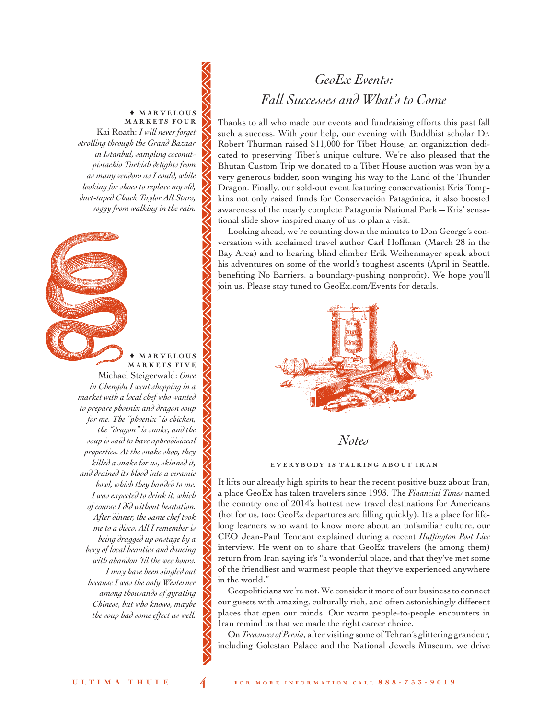#### ♦ M A R V E L O U S MARKETS FOUR

Kai Roath: *I will never forget strolling through the Grand Bazaar in Istanbul, sampling coconutpistachio Turkish delights from as many vendors as I could, while looking for shoes to replace my old, duct-taped Chuck Taylor All Stars, soggy from walking in the rain.*

**MARVELOUS** M A R K E T S F I V E Michael Steigerwald: *Once in Chengdu I went shopping in a market with a local chef who wanted to prepare phoenix and dragon soup for me. The "phoenix" is chicken, the "dragon" is snake, and the soup is said to have aphrodisiacal properties. At the snake shop, they killed a snake for us, skinned it, and drained its blood into a ceramic bowl, which they handed to me. I was expected to drink it, which of course I did without hesitation. After dinner, the same chef took me to a disco. All I remember is being dragged up onstage by a bevy of local beauties and dancing with abandon 'til the wee hours. I may have been singled out because I was the only Westerner among thousands of gyrating Chinese, but who knows, maybe the soup had some effect as well.* 

# *GeoEx Events: Fall Successes and What's to Come*

Thanks to all who made our events and fundraising efforts this past fall such a success. With your help, our evening with Buddhist scholar Dr. Robert Thurman raised \$11,000 for Tibet House, an organization dedicated to preserving Tibet's unique culture. We're also pleased that the Bhutan Custom Trip we donated to a Tibet House auction was won by a very generous bidder, soon winging his way to the Land of the Thunder Dragon. Finally, our sold-out event featuring conservationist Kris Tompkins not only raised funds for Conservación Patagónica, it also boosted awareness of the nearly complete Patagonia National Park—Kris' sensational slide show inspired many of us to plan a visit.

Looking ahead, we're counting down the minutes to Don George's conversation with acclaimed travel author Carl Hoffman (March 28 in the Bay Area) and to hearing blind climber Erik Weihenmayer speak about his adventures on some of the world's toughest ascents (April in Seattle, benefiting No Barriers, a boundary-pushing nonprofit). We hope you'll join us. Please stay tuned t[o GeoEx.com/Events](http://www.geoex.com/about/events) for details.



*Notes*

#### EVERYBODY IS TALKING ABOUT IRAN

It lifts our already high spirits to hear the recent positive buzz about Iran, a place GeoEx has taken travelers since 1993. The *Financial Times* named the country one of 2014's hottest new travel destinations for Americans (hot for us, too: GeoEx departures are filling quickly). It's a place for lifelong learners who want to know more about an unfamiliar culture, our CEO Jean-Paul Tennant explained during a recent *Huffington Post Live*  interview. He went on to share that GeoEx travelers (he among them) return from Iran saying it's "a wonderful place, and that they've met some of the friendliest and warmest people that they've experienced anywhere in the world."

Geopoliticians we're not. We consider it more of our business to connect our guests with amazing, culturally rich, and often astonishingly different places that open our minds. Our warm people-to-people encounters in Iran remind us that we made the right career choice.

On *Treasures of Persia*, after visiting some of Tehran's glittering grandeur, including Golestan Palace and the National Jewels Museum, we drive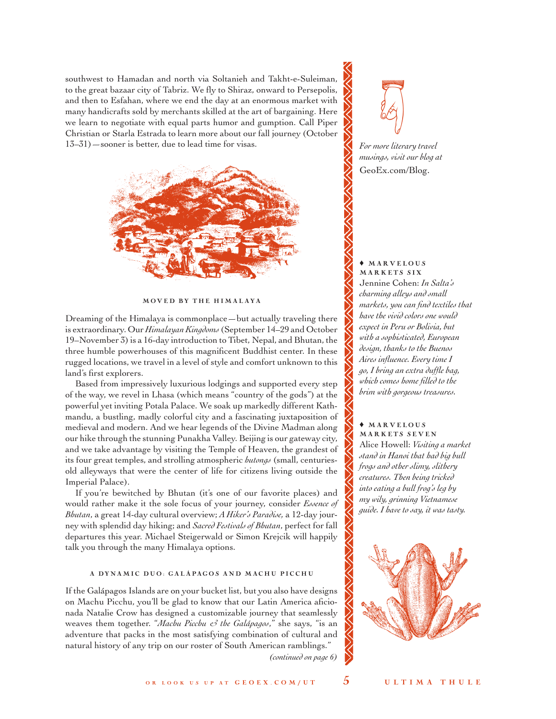southwest to Hamadan and north via Soltanieh and Takht-e-Suleiman, to the great bazaar city of Tabriz. We fly to Shiraz, onward to Persepolis, and then to Esfahan, where we end the day at an enormous market with many handicrafts sold by merchants skilled at the art of bargaining. Here we learn to negotiate with equal parts humor and gumption. Call Piper Christian or Starla Estrada to learn more about our fall journey (October 13–31)—sooner is better, due to lead time for visas.



MOVED BY THE HIMALAYA

Dreaming of the Himalaya is commonplace—but actually traveling there is extraordinary. Our *Himalayan Kingdoms* (September 14–29 and October 19–November 3) is a 16-day introduction to Tibet, Nepal, and Bhutan, the three humble powerhouses of this magnificent Buddhist center. In these rugged locations, we travel in a level of style and comfort unknown to this land's first explorers.

Based from impressively luxurious lodgings and supported every step of the way, we revel in Lhasa (which means "country of the gods") at the powerful yet inviting Potala Palace. We soak up markedly different Kathmandu, a bustling, madly colorful city and a fascinating juxtaposition of medieval and modern. And we hear legends of the Divine Madman along our hike through the stunning Punakha Valley. Beijing is our gateway city, and we take advantage by visiting the Temple of Heaven, the grandest of its four great temples, and strolling atmospheric *hutongs* (small, centuriesold alleyways that were the center of life for citizens living outside the Imperial Palace).

If you're bewitched by Bhutan (it's one of our favorite places) and would rather make it the sole focus of your journey, consider *Essence of Bhutan*, a great 14-day cultural overview; *A Hiker's Paradise,* a 12-day journey with splendid day hiking; and *Sacred Festivals of Bhutan*, perfect for fall departures this year. Michael Steigerwald or Simon Krejcik will happily talk you through the many Himalaya options.

#### A DYNAMIC DUO: GALÁPAGOS AND MACHU PICCHU

If the Galápagos Islands are on your bucket list, but you also have designs on Machu Picchu, you'll be glad to know that our Latin America aficionada Natalie Crow has designed a customizable journey that seamlessly weaves them together. "*Machu Picchu & the Galápagos*," she says, "is an adventure that packs in the most satisfying combination of cultural and natural history of any trip on our roster of South American ramblings."

*(continued on page 6)*



*For more literary travel musings, visit our blog at* [GeoEx.com/Blog.](http://www.geoex.com/blog)

♦ M A R V E L O U S MARKETS SIX Jennine Cohen: *In Salta's charming alleys and small markets, you can find textiles that have the vivid colors one would expect in Peru or Bolivia, but with a sophisticated, European design, thanks to the Buenos Aires influence. Every time I go, I bring an extra duffle bag, which comes home filled to the brim with gorgeous treasures.* 

♦ M A R V E L O U S MARKETS SEVEN Alice Howell: *Visiting a market stand in Hanoi that had big bull frogs and other slimy, slithery creatures. Then being tricked into eating a bull frog's leg by my wily, grinning Vietnamese guide. I have to say, it was tasty.* 

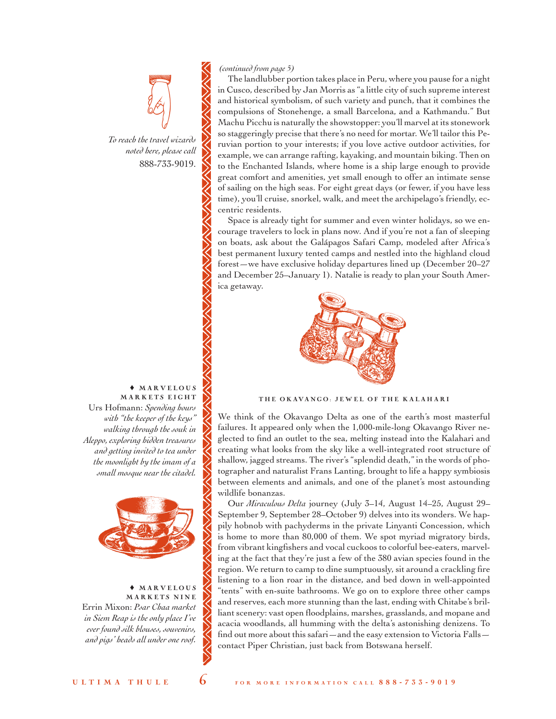

*To reach the travel wizards noted here, please call* 888-733-9019.

#### ♦ M A R V E L O U S MARKETS EIGHT

Urs Hofmann: *Spending hours with "the keeper of the keys" walking through the souk in Aleppo, exploring hidden treasures and getting invited to tea under the moonlight by the imam of a small mosque near the citadel.*



♦ M A R V E L O U S MARKETS NINE Errin Mixon: *Psar Chaa market in Siem Reap is the only place I've ever found silk blouses, souvenirs, and pigs' heads all under one roof.*

#### *(continued from page 5)*

The landlubber portion takes place in Peru, where you pause for a night in Cusco, described by Jan Morris as "a little city of such supreme interest and historical symbolism, of such variety and punch, that it combines the compulsions of Stonehenge, a small Barcelona, and a Kathmandu." But Machu Picchu is naturally the showstopper: you'll marvel at its stonework so staggeringly precise that there's no need for mortar. We'll tailor this Peruvian portion to your interests; if you love active outdoor activities, for example, we can arrange rafting, kayaking, and mountain biking. Then on to the Enchanted Islands, where home is a ship large enough to provide great comfort and amenities, yet small enough to offer an intimate sense of sailing on the high seas. For eight great days (or fewer, if you have less time), you'll cruise, snorkel, walk, and meet the archipelago's friendly, eccentric residents.

Space is already tight for summer and even winter holidays, so we encourage travelers to lock in plans now. And if you're not a fan of sleeping on boats, ask about the Galápagos Safari Camp, modeled after Africa's best permanent luxury tented camps and nestled into the highland cloud forest—we have exclusive holiday departures lined up (December 20–27 and December 25–January 1). Natalie is ready to plan your South America getaway.



### THE OKAVANGO: JEWEL OF THE KALAHARI

We think of the Okavango Delta as one of the earth's most masterful failures. It appeared only when the 1,000-mile-long Okavango River neglected to find an outlet to the sea, melting instead into the Kalahari and creating what looks from the sky like a well-integrated root structure of shallow, jagged streams. The river's "splendid death," in the words of photographer and naturalist Frans Lanting, brought to life a happy symbiosis between elements and animals, and one of the planet's most astounding wildlife bonanzas.

Our *Miraculous Delta* journey (July 3–14, August 14–25, August 29– September 9, September 28–October 9) delves into its wonders. We happily hobnob with pachyderms in the private Linyanti Concession, which is home to more than 80,000 of them. We spot myriad migratory birds, from vibrant kingfishers and vocal cuckoos to colorful bee-eaters, marveling at the fact that they're just a few of the 380 avian species found in the region. We return to camp to dine sumptuously, sit around a crackling fire listening to a lion roar in the distance, and bed down in well-appointed "tents" with en-suite bathrooms. We go on to explore three other camps and reserves, each more stunning than the last, ending with Chitabe's brilliant scenery: vast open floodplains, marshes, grasslands, and mopane and acacia woodlands, all humming with the delta's astonishing denizens. To find out more about this safari—and the easy extension to Victoria Falls contact Piper Christian, just back from Botswana herself.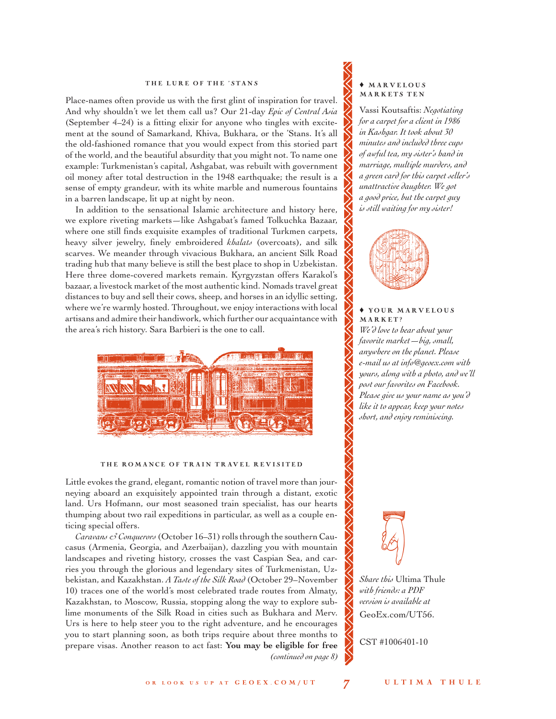#### THE LURE OF THE 'STANS

Place-names often provide us with the first glint of inspiration for travel. And why shouldn't we let them call us? Our 21-day *Epic of Central Asia* (September 4–24) is a fitting elixir for anyone who tingles with excitement at the sound of Samarkand, Khiva, Bukhara, or the 'Stans. It's all the old-fashioned romance that you would expect from this storied part of the world, and the beautiful absurdity that you might not. To name one example: Turkmenistan's capital, Ashgabat, was rebuilt with government oil money after total destruction in the 1948 earthquake; the result is a sense of empty grandeur, with its white marble and numerous fountains in a barren landscape, lit up at night by neon.

In addition to the sensational Islamic architecture and history here, we explore riveting markets—like Ashgabat's famed Tolkuchka Bazaar, where one still finds exquisite examples of traditional Turkmen carpets, heavy silver jewelry, finely embroidered *khalats* (overcoats), and silk scarves. We meander through vivacious Bukhara, an ancient Silk Road trading hub that many believe is still the best place to shop in Uzbekistan. Here three dome-covered markets remain. Kyrgyzstan offers Karakol's bazaar, a livestock market of the most authentic kind. Nomads travel great distances to buy and sell their cows, sheep, and horses in an idyllic setting, where we're warmly hosted. Throughout, we enjoy interactions with local artisans and admire their handiwork, which further our acquaintance with the area's rich history. Sara Barbieri is the one to call.



#### THE ROMANCE OF TRAIN TRAVEL REVISITED

Little evokes the grand, elegant, romantic notion of travel more than journeying aboard an exquisitely appointed train through a distant, exotic land. Urs Hofmann, our most seasoned train specialist, has our hearts thumping about two rail expeditions in particular, as well as a couple enticing special offers.

*Caravans & Conquerors* (October 16–31) rolls through the southern Caucasus (Armenia, Georgia, and Azerbaijan), dazzling you with mountain landscapes and riveting history, crosses the vast Caspian Sea, and carries you through the glorious and legendary sites of Turkmenistan, Uzbekistan, and Kazakhstan. *A Taste of the Silk Road* (October 29–November 10) traces one of the world's most celebrated trade routes from Almaty, Kazakhstan, to Moscow, Russia, stopping along the way to explore sublime monuments of the Silk Road in cities such as Bukhara and Merv. Urs is here to help steer you to the right adventure, and he encourages you to start planning soon, as both trips require about three months to prepare visas. Another reason to act fast: **You may be eligible for free**  *(continued on page 8)*

#### ♦ M A R V E L O U S MARKETS TEN

Vassi Koutsaftis: *Negotiating for a carpet for a client in 1986 in Kashgar. It took about 30 minutes and included three cups of awful tea, my sister's hand in marriage, multiple murders, and a green card for this carpet seller's unattractive daughter. We got a good price, but the carpet guy is still waiting for my sister!*



#### ♦ YO U R MA R V E L O U S M A R K E T ?

*We'd love to hear about your favorite market—big, small, anywhere on the planet. Please e-mail us at info@geoex.com with yours, along with a photo, and we'll post our favorites on Facebook. Please give us your name as you'd like it to appear, keep your notes short, and enjoy reminiscing.*



*Share this* Ultima Thule *with friends: a PDF version is available at*  [GeoEx.com/UT56.](http://www.geoex.com/~/media/Files/Ultima-Thule_56.ashx) 

CST #1006401-10